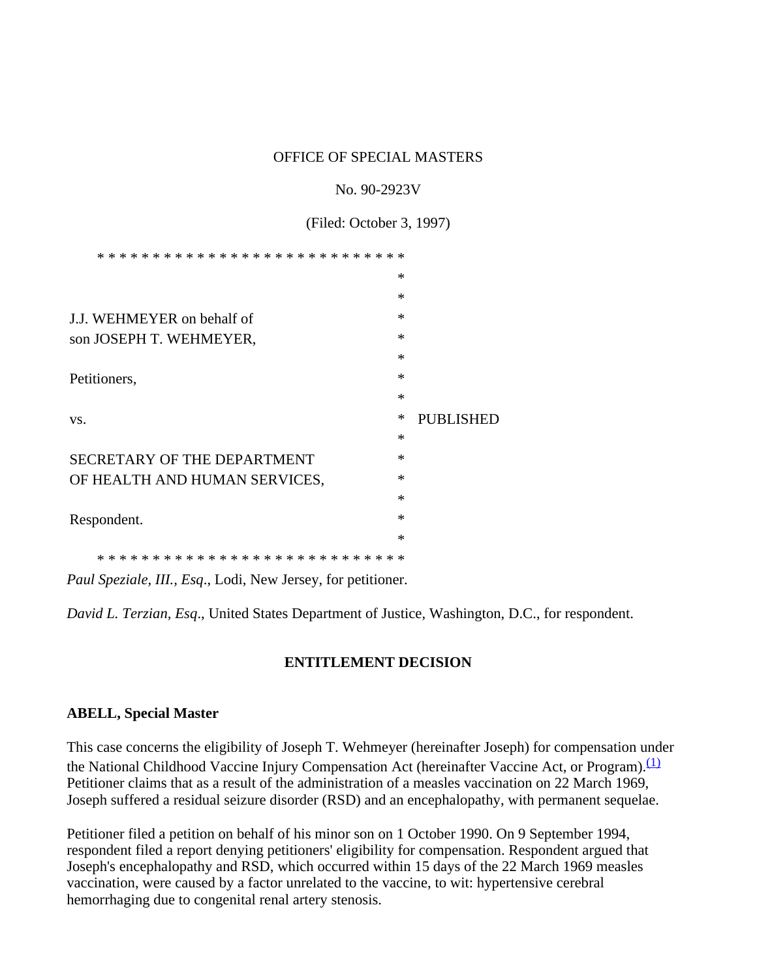#### OFFICE OF SPECIAL MASTERS

#### No. 90-2923V

(Filed: October 3, 1997)

| * * *<br>*<br>$\ast$          |        |                  |
|-------------------------------|--------|------------------|
|                               | $\ast$ |                  |
|                               | $\ast$ |                  |
| J.J. WEHMEYER on behalf of    | $\ast$ |                  |
| son JOSEPH T. WEHMEYER,       | $\ast$ |                  |
|                               | $\ast$ |                  |
| Petitioners,                  | $\ast$ |                  |
|                               | $\ast$ |                  |
|                               |        |                  |
| VS.                           | ∗      | <b>PUBLISHED</b> |
|                               | $\ast$ |                  |
| SECRETARY OF THE DEPARTMENT   | $\ast$ |                  |
| OF HEALTH AND HUMAN SERVICES, | $\ast$ |                  |
|                               | $\ast$ |                  |
| Respondent.                   | $\ast$ |                  |
|                               | $\ast$ |                  |

*Paul Speziale, III., Esq*., Lodi, New Jersey, for petitioner.

*David L. Terzian, Esq*., United States Department of Justice, Washington, D.C., for respondent.

### **ENTITLEMENT DECISION**

### **ABELL, Special Master**

This case concerns the eligibility of Joseph T. Wehmeyer (hereinafter Joseph) for compensation under the National Childhood Vaccine Injury Compensation Act (hereinafter Vaccine Act, or Program).<sup>(1)</sup> Petitioner claims that as a result of the administration of a measles vaccination on 22 March 1969, Joseph suffered a residual seizure disorder (RSD) and an encephalopathy, with permanent sequelae.

Petitioner filed a petition on behalf of his minor son on 1 October 1990. On 9 September 1994, respondent filed a report denying petitioners' eligibility for compensation. Respondent argued that Joseph's encephalopathy and RSD, which occurred within 15 days of the 22 March 1969 measles vaccination, were caused by a factor unrelated to the vaccine, to wit: hypertensive cerebral hemorrhaging due to congenital renal artery stenosis.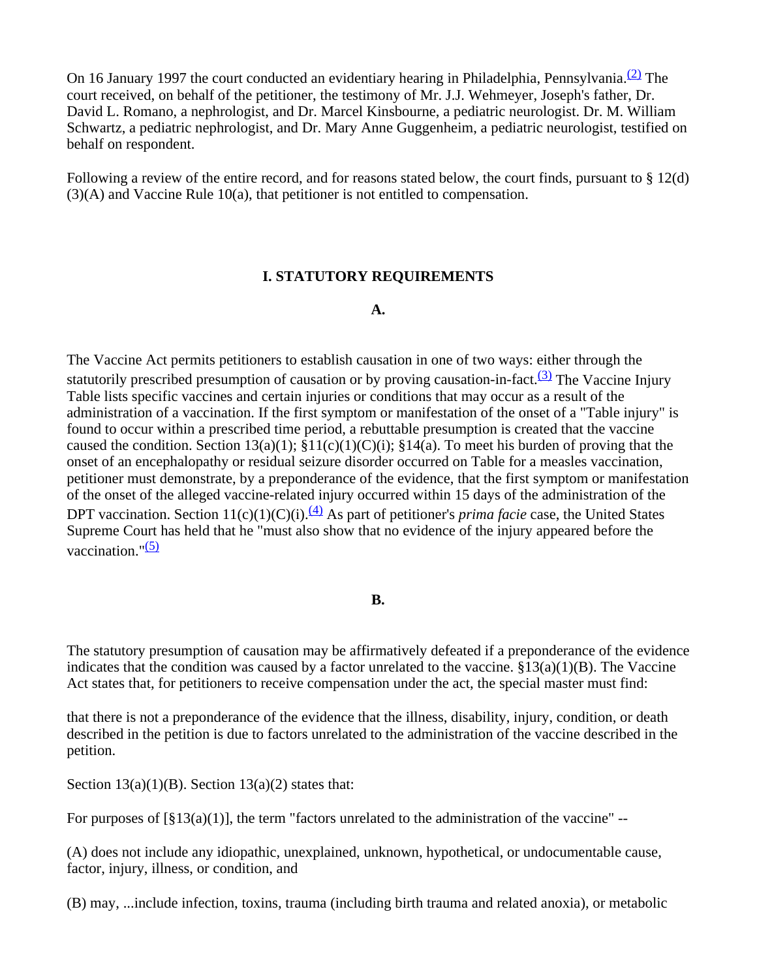On 16 January 1997 the court conducted an evidentiary hearing in Philadelphia, Pennsylvania.<sup>(2)</sup> The court received, on behalf of the petitioner, the testimony of Mr. J.J. Wehmeyer, Joseph's father, Dr. David L. Romano, a nephrologist, and Dr. Marcel Kinsbourne, a pediatric neurologist. Dr. M. William Schwartz, a pediatric nephrologist, and Dr. Mary Anne Guggenheim, a pediatric neurologist, testified on behalf on respondent.

Following a review of the entire record, and for reasons stated below, the court finds, pursuant to § 12(d) (3)(A) and Vaccine Rule 10(a), that petitioner is not entitled to compensation.

### **I. STATUTORY REQUIREMENTS**

#### **A.**

The Vaccine Act permits petitioners to establish causation in one of two ways: either through the statutorily prescribed presumption of causation or by proving causation-in-fact.<sup>(3)</sup> The Vaccine Injury Table lists specific vaccines and certain injuries or conditions that may occur as a result of the administration of a vaccination. If the first symptom or manifestation of the onset of a "Table injury" is found to occur within a prescribed time period, a rebuttable presumption is created that the vaccine caused the condition. Section 13(a)(1);  $\S11(c)(1)(C)(i)$ ;  $\S14(a)$ . To meet his burden of proving that the onset of an encephalopathy or residual seizure disorder occurred on Table for a measles vaccination, petitioner must demonstrate, by a preponderance of the evidence, that the first symptom or manifestation of the onset of the alleged vaccine-related injury occurred within 15 days of the administration of the DPT vaccination. Section  $11(c)(1)(C)(i)$ .<sup>(4)</sup> As part of petitioner's *prima facie* case, the United States Supreme Court has held that he "must also show that no evidence of the injury appeared before the vaccination." $(5)$ 

#### **B.**

The statutory presumption of causation may be affirmatively defeated if a preponderance of the evidence indicates that the condition was caused by a factor unrelated to the vaccine.  $\frac{$13(a)(1)(B)}{B}$ . The Vaccine Act states that, for petitioners to receive compensation under the act, the special master must find:

that there is not a preponderance of the evidence that the illness, disability, injury, condition, or death described in the petition is due to factors unrelated to the administration of the vaccine described in the petition.

Section  $13(a)(1)(B)$ . Section  $13(a)(2)$  states that:

For purposes of  $[\S13(a)(1)]$ , the term "factors unrelated to the administration of the vaccine" --

(A) does not include any idiopathic, unexplained, unknown, hypothetical, or undocumentable cause, factor, injury, illness, or condition, and

(B) may, ...include infection, toxins, trauma (including birth trauma and related anoxia), or metabolic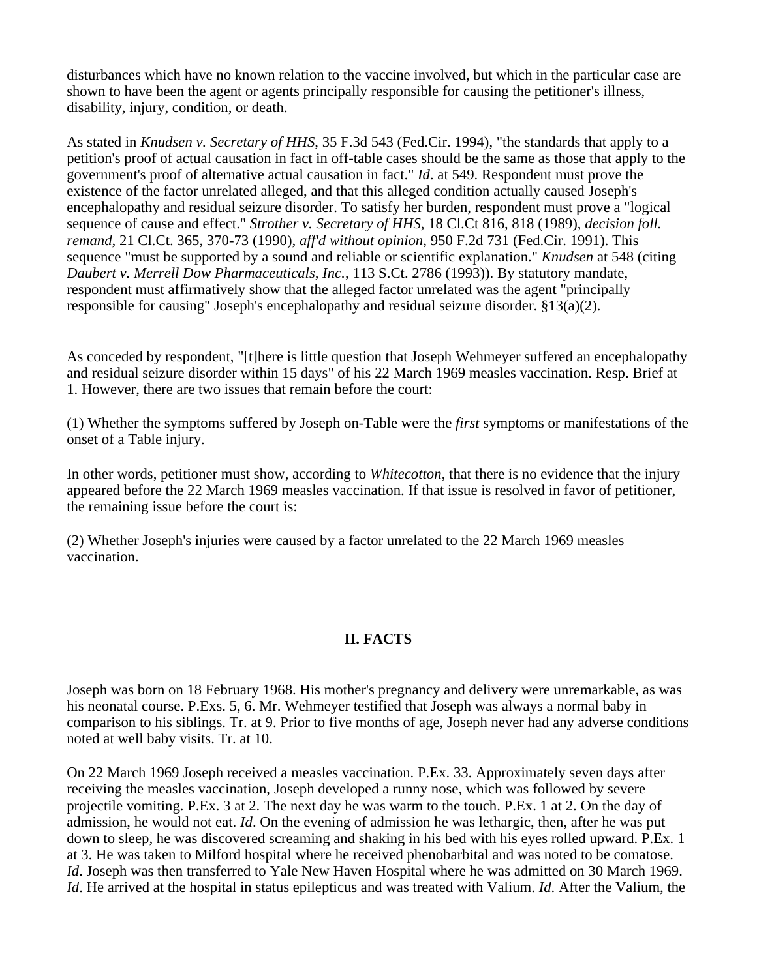disturbances which have no known relation to the vaccine involved, but which in the particular case are shown to have been the agent or agents principally responsible for causing the petitioner's illness, disability, injury, condition, or death.

As stated in *Knudsen v. Secretary of HHS*, 35 F.3d 543 (Fed.Cir. 1994), "the standards that apply to a petition's proof of actual causation in fact in off-table cases should be the same as those that apply to the government's proof of alternative actual causation in fact." *Id*. at 549. Respondent must prove the existence of the factor unrelated alleged, and that this alleged condition actually caused Joseph's encephalopathy and residual seizure disorder. To satisfy her burden, respondent must prove a "logical sequence of cause and effect." *Strother v. Secretary of HHS*, 18 Cl.Ct 816, 818 (1989), *decision foll. remand*, 21 Cl.Ct. 365, 370-73 (1990), *aff'd without opinion*, 950 F.2d 731 (Fed.Cir. 1991). This sequence "must be supported by a sound and reliable or scientific explanation." *Knudsen* at 548 (citing *Daubert v. Merrell Dow Pharmaceuticals, Inc.*, 113 S.Ct. 2786 (1993)). By statutory mandate, respondent must affirmatively show that the alleged factor unrelated was the agent "principally responsible for causing" Joseph's encephalopathy and residual seizure disorder. §13(a)(2).

As conceded by respondent, "[t]here is little question that Joseph Wehmeyer suffered an encephalopathy and residual seizure disorder within 15 days" of his 22 March 1969 measles vaccination. Resp. Brief at 1. However, there are two issues that remain before the court:

(1) Whether the symptoms suffered by Joseph on-Table were the *first* symptoms or manifestations of the onset of a Table injury.

In other words, petitioner must show, according to *Whitecotton*, that there is no evidence that the injury appeared before the 22 March 1969 measles vaccination. If that issue is resolved in favor of petitioner, the remaining issue before the court is:

(2) Whether Joseph's injuries were caused by a factor unrelated to the 22 March 1969 measles vaccination.

# **II. FACTS**

Joseph was born on 18 February 1968. His mother's pregnancy and delivery were unremarkable, as was his neonatal course. P.Exs. 5, 6. Mr. Wehmeyer testified that Joseph was always a normal baby in comparison to his siblings. Tr. at 9. Prior to five months of age, Joseph never had any adverse conditions noted at well baby visits. Tr. at 10.

On 22 March 1969 Joseph received a measles vaccination. P.Ex. 33. Approximately seven days after receiving the measles vaccination, Joseph developed a runny nose, which was followed by severe projectile vomiting. P.Ex. 3 at 2. The next day he was warm to the touch. P.Ex. 1 at 2. On the day of admission, he would not eat. *Id*. On the evening of admission he was lethargic, then, after he was put down to sleep, he was discovered screaming and shaking in his bed with his eyes rolled upward. P.Ex. 1 at 3. He was taken to Milford hospital where he received phenobarbital and was noted to be comatose. *Id*. Joseph was then transferred to Yale New Haven Hospital where he was admitted on 30 March 1969. *Id*. He arrived at the hospital in status epilepticus and was treated with Valium. *Id*. After the Valium, the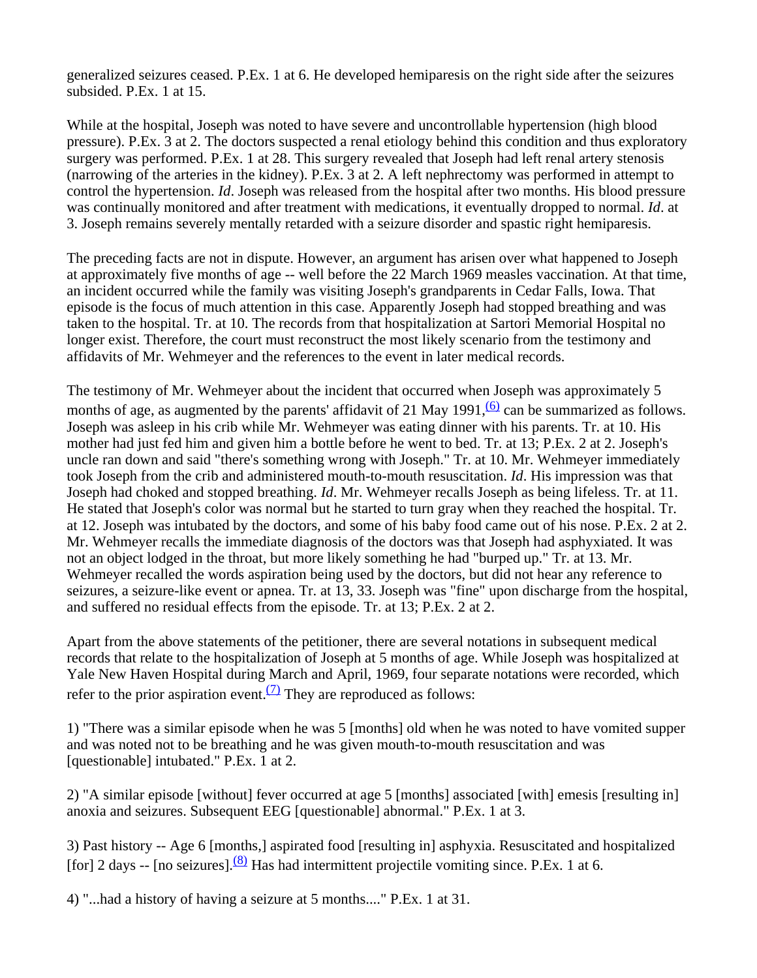generalized seizures ceased. P.Ex. 1 at 6. He developed hemiparesis on the right side after the seizures subsided. P.Ex. 1 at 15.

While at the hospital, Joseph was noted to have severe and uncontrollable hypertension (high blood pressure). P.Ex. 3 at 2. The doctors suspected a renal etiology behind this condition and thus exploratory surgery was performed. P.Ex. 1 at 28. This surgery revealed that Joseph had left renal artery stenosis (narrowing of the arteries in the kidney). P.Ex. 3 at 2. A left nephrectomy was performed in attempt to control the hypertension. *Id*. Joseph was released from the hospital after two months. His blood pressure was continually monitored and after treatment with medications, it eventually dropped to normal. *Id*. at 3. Joseph remains severely mentally retarded with a seizure disorder and spastic right hemiparesis.

The preceding facts are not in dispute. However, an argument has arisen over what happened to Joseph at approximately five months of age -- well before the 22 March 1969 measles vaccination. At that time, an incident occurred while the family was visiting Joseph's grandparents in Cedar Falls, Iowa. That episode is the focus of much attention in this case. Apparently Joseph had stopped breathing and was taken to the hospital. Tr. at 10. The records from that hospitalization at Sartori Memorial Hospital no longer exist. Therefore, the court must reconstruct the most likely scenario from the testimony and affidavits of Mr. Wehmeyer and the references to the event in later medical records.

The testimony of Mr. Wehmeyer about the incident that occurred when Joseph was approximately 5 months of age, as augmented by the parents' affidavit of 21 May 1991,  $\frac{(6)}{6}$  can be summarized as follows. Joseph was asleep in his crib while Mr. Wehmeyer was eating dinner with his parents. Tr. at 10. His mother had just fed him and given him a bottle before he went to bed. Tr. at 13; P.Ex. 2 at 2. Joseph's uncle ran down and said "there's something wrong with Joseph." Tr. at 10. Mr. Wehmeyer immediately took Joseph from the crib and administered mouth-to-mouth resuscitation. *Id*. His impression was that Joseph had choked and stopped breathing. *Id*. Mr. Wehmeyer recalls Joseph as being lifeless. Tr. at 11. He stated that Joseph's color was normal but he started to turn gray when they reached the hospital. Tr. at 12. Joseph was intubated by the doctors, and some of his baby food came out of his nose. P.Ex. 2 at 2. Mr. Wehmeyer recalls the immediate diagnosis of the doctors was that Joseph had asphyxiated. It was not an object lodged in the throat, but more likely something he had "burped up." Tr. at 13. Mr. Wehmeyer recalled the words aspiration being used by the doctors, but did not hear any reference to seizures, a seizure-like event or apnea. Tr. at 13, 33. Joseph was "fine" upon discharge from the hospital, and suffered no residual effects from the episode. Tr. at 13; P.Ex. 2 at 2.

Apart from the above statements of the petitioner, there are several notations in subsequent medical records that relate to the hospitalization of Joseph at 5 months of age. While Joseph was hospitalized at Yale New Haven Hospital during March and April, 1969, four separate notations were recorded, which refer to the prior aspiration event.<sup> $(7)$ </sup> They are reproduced as follows:

1) "There was a similar episode when he was 5 [months] old when he was noted to have vomited supper and was noted not to be breathing and he was given mouth-to-mouth resuscitation and was [questionable] intubated." P.Ex. 1 at 2.

2) "A similar episode [without] fever occurred at age 5 [months] associated [with] emesis [resulting in] anoxia and seizures. Subsequent EEG [questionable] abnormal." P.Ex. 1 at 3.

3) Past history -- Age 6 [months,] aspirated food [resulting in] asphyxia. Resuscitated and hospitalized [for] 2 days -- [no seizures]. $\frac{(8)}{8}$  Has had intermittent projectile vomiting since. P.Ex. 1 at 6.

4) "...had a history of having a seizure at 5 months...." P.Ex. 1 at 31.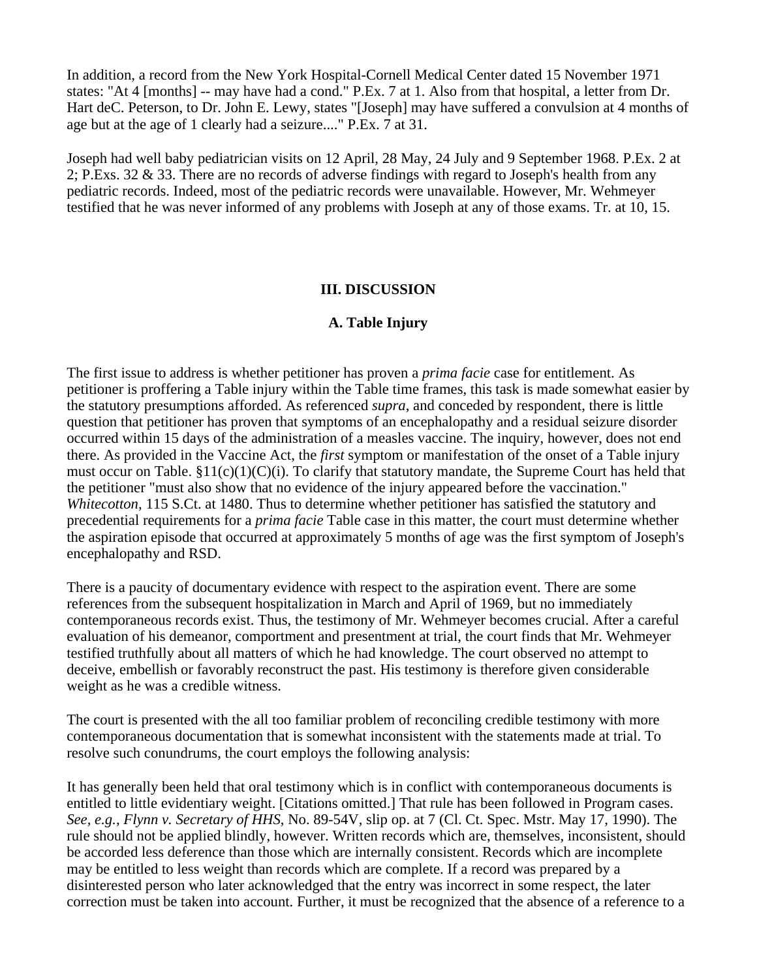In addition, a record from the New York Hospital-Cornell Medical Center dated 15 November 1971 states: "At 4 [months] -- may have had a cond." P.Ex. 7 at 1. Also from that hospital, a letter from Dr. Hart deC. Peterson, to Dr. John E. Lewy, states "[Joseph] may have suffered a convulsion at 4 months of age but at the age of 1 clearly had a seizure...." P.Ex. 7 at 31.

Joseph had well baby pediatrician visits on 12 April, 28 May, 24 July and 9 September 1968. P.Ex. 2 at 2; P.Exs. 32 & 33. There are no records of adverse findings with regard to Joseph's health from any pediatric records. Indeed, most of the pediatric records were unavailable. However, Mr. Wehmeyer testified that he was never informed of any problems with Joseph at any of those exams. Tr. at 10, 15.

### **III. DISCUSSION**

### **A. Table Injury**

The first issue to address is whether petitioner has proven a *prima facie* case for entitlement. As petitioner is proffering a Table injury within the Table time frames, this task is made somewhat easier by the statutory presumptions afforded. As referenced *supra*, and conceded by respondent, there is little question that petitioner has proven that symptoms of an encephalopathy and a residual seizure disorder occurred within 15 days of the administration of a measles vaccine. The inquiry, however, does not end there. As provided in the Vaccine Act, the *first* symptom or manifestation of the onset of a Table injury must occur on Table.  $\S11(c)(1)(C)(i)$ . To clarify that statutory mandate, the Supreme Court has held that the petitioner "must also show that no evidence of the injury appeared before the vaccination." *Whitecotton*, 115 S.Ct. at 1480. Thus to determine whether petitioner has satisfied the statutory and precedential requirements for a *prima facie* Table case in this matter, the court must determine whether the aspiration episode that occurred at approximately 5 months of age was the first symptom of Joseph's encephalopathy and RSD.

There is a paucity of documentary evidence with respect to the aspiration event. There are some references from the subsequent hospitalization in March and April of 1969, but no immediately contemporaneous records exist. Thus, the testimony of Mr. Wehmeyer becomes crucial. After a careful evaluation of his demeanor, comportment and presentment at trial, the court finds that Mr. Wehmeyer testified truthfully about all matters of which he had knowledge. The court observed no attempt to deceive, embellish or favorably reconstruct the past. His testimony is therefore given considerable weight as he was a credible witness.

The court is presented with the all too familiar problem of reconciling credible testimony with more contemporaneous documentation that is somewhat inconsistent with the statements made at trial. To resolve such conundrums, the court employs the following analysis:

It has generally been held that oral testimony which is in conflict with contemporaneous documents is entitled to little evidentiary weight. [Citations omitted.] That rule has been followed in Program cases. *See, e.g., Flynn v. Secretary of HHS*, No. 89-54V, slip op. at 7 (Cl. Ct. Spec. Mstr. May 17, 1990). The rule should not be applied blindly, however. Written records which are, themselves, inconsistent, should be accorded less deference than those which are internally consistent. Records which are incomplete may be entitled to less weight than records which are complete. If a record was prepared by a disinterested person who later acknowledged that the entry was incorrect in some respect, the later correction must be taken into account. Further, it must be recognized that the absence of a reference to a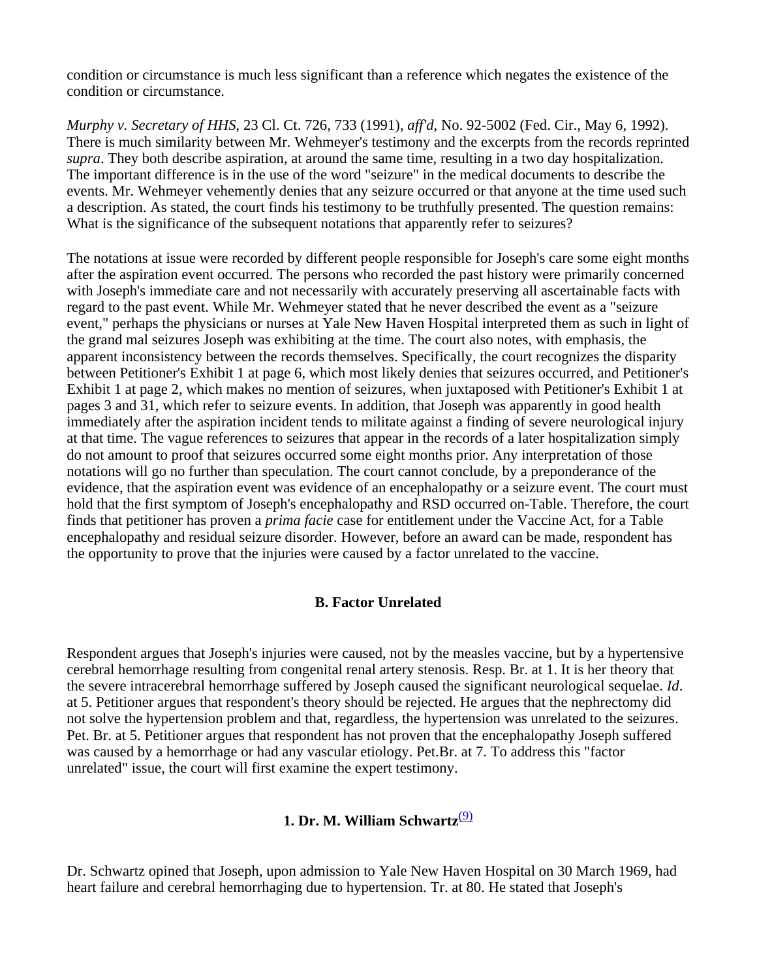condition or circumstance is much less significant than a reference which negates the existence of the condition or circumstance.

*Murphy v. Secretary of HHS*, 23 Cl. Ct. 726, 733 (1991), *aff'd*, No. 92-5002 (Fed. Cir., May 6, 1992). There is much similarity between Mr. Wehmeyer's testimony and the excerpts from the records reprinted *supra*. They both describe aspiration, at around the same time, resulting in a two day hospitalization. The important difference is in the use of the word "seizure" in the medical documents to describe the events. Mr. Wehmeyer vehemently denies that any seizure occurred or that anyone at the time used such a description. As stated, the court finds his testimony to be truthfully presented. The question remains: What is the significance of the subsequent notations that apparently refer to seizures?

The notations at issue were recorded by different people responsible for Joseph's care some eight months after the aspiration event occurred. The persons who recorded the past history were primarily concerned with Joseph's immediate care and not necessarily with accurately preserving all ascertainable facts with regard to the past event. While Mr. Wehmeyer stated that he never described the event as a "seizure event," perhaps the physicians or nurses at Yale New Haven Hospital interpreted them as such in light of the grand mal seizures Joseph was exhibiting at the time. The court also notes, with emphasis, the apparent inconsistency between the records themselves. Specifically, the court recognizes the disparity between Petitioner's Exhibit 1 at page 6, which most likely denies that seizures occurred, and Petitioner's Exhibit 1 at page 2, which makes no mention of seizures, when juxtaposed with Petitioner's Exhibit 1 at pages 3 and 31, which refer to seizure events. In addition, that Joseph was apparently in good health immediately after the aspiration incident tends to militate against a finding of severe neurological injury at that time. The vague references to seizures that appear in the records of a later hospitalization simply do not amount to proof that seizures occurred some eight months prior. Any interpretation of those notations will go no further than speculation. The court cannot conclude, by a preponderance of the evidence, that the aspiration event was evidence of an encephalopathy or a seizure event. The court must hold that the first symptom of Joseph's encephalopathy and RSD occurred on-Table. Therefore, the court finds that petitioner has proven a *prima facie* case for entitlement under the Vaccine Act, for a Table encephalopathy and residual seizure disorder. However, before an award can be made, respondent has the opportunity to prove that the injuries were caused by a factor unrelated to the vaccine.

### **B. Factor Unrelated**

Respondent argues that Joseph's injuries were caused, not by the measles vaccine, but by a hypertensive cerebral hemorrhage resulting from congenital renal artery stenosis. Resp. Br. at 1. It is her theory that the severe intracerebral hemorrhage suffered by Joseph caused the significant neurological sequelae. *Id*. at 5. Petitioner argues that respondent's theory should be rejected. He argues that the nephrectomy did not solve the hypertension problem and that, regardless, the hypertension was unrelated to the seizures. Pet. Br. at 5. Petitioner argues that respondent has not proven that the encephalopathy Joseph suffered was caused by a hemorrhage or had any vascular etiology. Pet.Br. at 7. To address this "factor unrelated" issue, the court will first examine the expert testimony.

# **1. Dr. M. William Schwartz**(9)

Dr. Schwartz opined that Joseph, upon admission to Yale New Haven Hospital on 30 March 1969, had heart failure and cerebral hemorrhaging due to hypertension. Tr. at 80. He stated that Joseph's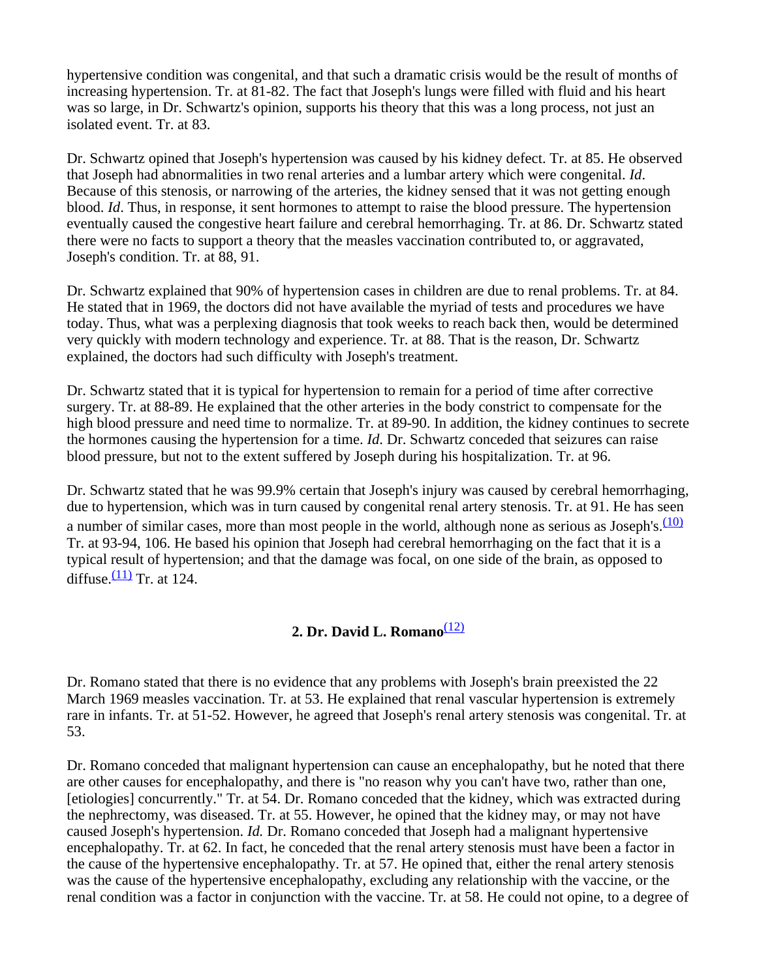hypertensive condition was congenital, and that such a dramatic crisis would be the result of months of increasing hypertension. Tr. at 81-82. The fact that Joseph's lungs were filled with fluid and his heart was so large, in Dr. Schwartz's opinion, supports his theory that this was a long process, not just an isolated event. Tr. at 83.

Dr. Schwartz opined that Joseph's hypertension was caused by his kidney defect. Tr. at 85. He observed that Joseph had abnormalities in two renal arteries and a lumbar artery which were congenital. *Id*. Because of this stenosis, or narrowing of the arteries, the kidney sensed that it was not getting enough blood. *Id*. Thus, in response, it sent hormones to attempt to raise the blood pressure. The hypertension eventually caused the congestive heart failure and cerebral hemorrhaging. Tr. at 86. Dr. Schwartz stated there were no facts to support a theory that the measles vaccination contributed to, or aggravated, Joseph's condition. Tr. at 88, 91.

Dr. Schwartz explained that 90% of hypertension cases in children are due to renal problems. Tr. at 84. He stated that in 1969, the doctors did not have available the myriad of tests and procedures we have today. Thus, what was a perplexing diagnosis that took weeks to reach back then, would be determined very quickly with modern technology and experience. Tr. at 88. That is the reason, Dr. Schwartz explained, the doctors had such difficulty with Joseph's treatment.

Dr. Schwartz stated that it is typical for hypertension to remain for a period of time after corrective surgery. Tr. at 88-89. He explained that the other arteries in the body constrict to compensate for the high blood pressure and need time to normalize. Tr. at 89-90. In addition, the kidney continues to secrete the hormones causing the hypertension for a time. *Id*. Dr. Schwartz conceded that seizures can raise blood pressure, but not to the extent suffered by Joseph during his hospitalization. Tr. at 96.

Dr. Schwartz stated that he was 99.9% certain that Joseph's injury was caused by cerebral hemorrhaging, due to hypertension, which was in turn caused by congenital renal artery stenosis. Tr. at 91. He has seen a number of similar cases, more than most people in the world, although none as serious as Joseph's. $\frac{(10)}{2}$ Tr. at 93-94, 106. He based his opinion that Joseph had cerebral hemorrhaging on the fact that it is a typical result of hypertension; and that the damage was focal, on one side of the brain, as opposed to diffuse. $\frac{(11)}{11}$  Tr. at 124.

# **2. Dr. David L. Romano**(12)

Dr. Romano stated that there is no evidence that any problems with Joseph's brain preexisted the 22 March 1969 measles vaccination. Tr. at 53. He explained that renal vascular hypertension is extremely rare in infants. Tr. at 51-52. However, he agreed that Joseph's renal artery stenosis was congenital. Tr. at 53.

Dr. Romano conceded that malignant hypertension can cause an encephalopathy, but he noted that there are other causes for encephalopathy, and there is "no reason why you can't have two, rather than one, [etiologies] concurrently." Tr. at 54. Dr. Romano conceded that the kidney, which was extracted during the nephrectomy, was diseased. Tr. at 55. However, he opined that the kidney may, or may not have caused Joseph's hypertension. *Id.* Dr. Romano conceded that Joseph had a malignant hypertensive encephalopathy. Tr. at 62. In fact, he conceded that the renal artery stenosis must have been a factor in the cause of the hypertensive encephalopathy. Tr. at 57. He opined that, either the renal artery stenosis was the cause of the hypertensive encephalopathy, excluding any relationship with the vaccine, or the renal condition was a factor in conjunction with the vaccine. Tr. at 58. He could not opine, to a degree of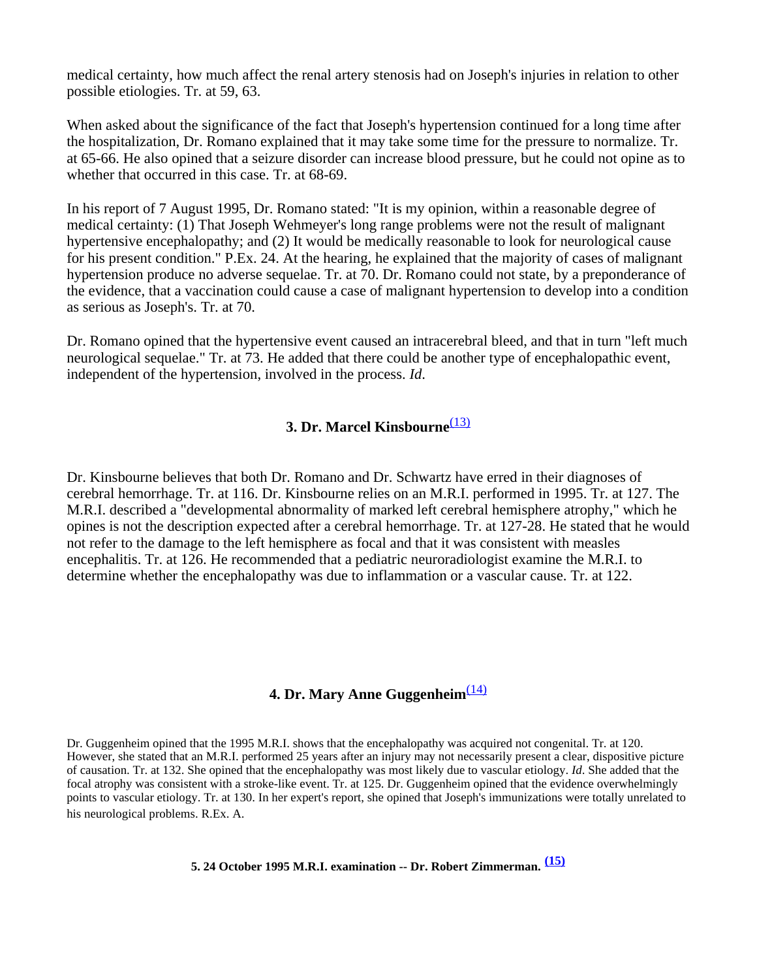medical certainty, how much affect the renal artery stenosis had on Joseph's injuries in relation to other possible etiologies. Tr. at 59, 63.

When asked about the significance of the fact that Joseph's hypertension continued for a long time after the hospitalization, Dr. Romano explained that it may take some time for the pressure to normalize. Tr. at 65-66. He also opined that a seizure disorder can increase blood pressure, but he could not opine as to whether that occurred in this case. Tr. at 68-69.

In his report of 7 August 1995, Dr. Romano stated: "It is my opinion, within a reasonable degree of medical certainty: (1) That Joseph Wehmeyer's long range problems were not the result of malignant hypertensive encephalopathy; and (2) It would be medically reasonable to look for neurological cause for his present condition." P.Ex. 24. At the hearing, he explained that the majority of cases of malignant hypertension produce no adverse sequelae. Tr. at 70. Dr. Romano could not state, by a preponderance of the evidence, that a vaccination could cause a case of malignant hypertension to develop into a condition as serious as Joseph's. Tr. at 70.

Dr. Romano opined that the hypertensive event caused an intracerebral bleed, and that in turn "left much neurological sequelae." Tr. at 73. He added that there could be another type of encephalopathic event, independent of the hypertension, involved in the process. *Id*.

## **3. Dr. Marcel Kinsbourne**(13)

Dr. Kinsbourne believes that both Dr. Romano and Dr. Schwartz have erred in their diagnoses of cerebral hemorrhage. Tr. at 116. Dr. Kinsbourne relies on an M.R.I. performed in 1995. Tr. at 127. The M.R.I. described a "developmental abnormality of marked left cerebral hemisphere atrophy," which he opines is not the description expected after a cerebral hemorrhage. Tr. at 127-28. He stated that he would not refer to the damage to the left hemisphere as focal and that it was consistent with measles encephalitis. Tr. at 126. He recommended that a pediatric neuroradiologist examine the M.R.I. to determine whether the encephalopathy was due to inflammation or a vascular cause. Tr. at 122.

## **4. Dr. Mary Anne Guggenheim**<sup>(14)</sup>

Dr. Guggenheim opined that the 1995 M.R.I. shows that the encephalopathy was acquired not congenital. Tr. at 120. However, she stated that an M.R.I. performed 25 years after an injury may not necessarily present a clear, dispositive picture of causation. Tr. at 132. She opined that the encephalopathy was most likely due to vascular etiology. *Id*. She added that the focal atrophy was consistent with a stroke-like event. Tr. at 125. Dr. Guggenheim opined that the evidence overwhelmingly points to vascular etiology. Tr. at 130. In her expert's report, she opined that Joseph's immunizations were totally unrelated to his neurological problems. R.Ex. A.

### **5. 24 October 1995 M.R.I. examination -- Dr. Robert Zimmerman. (15)**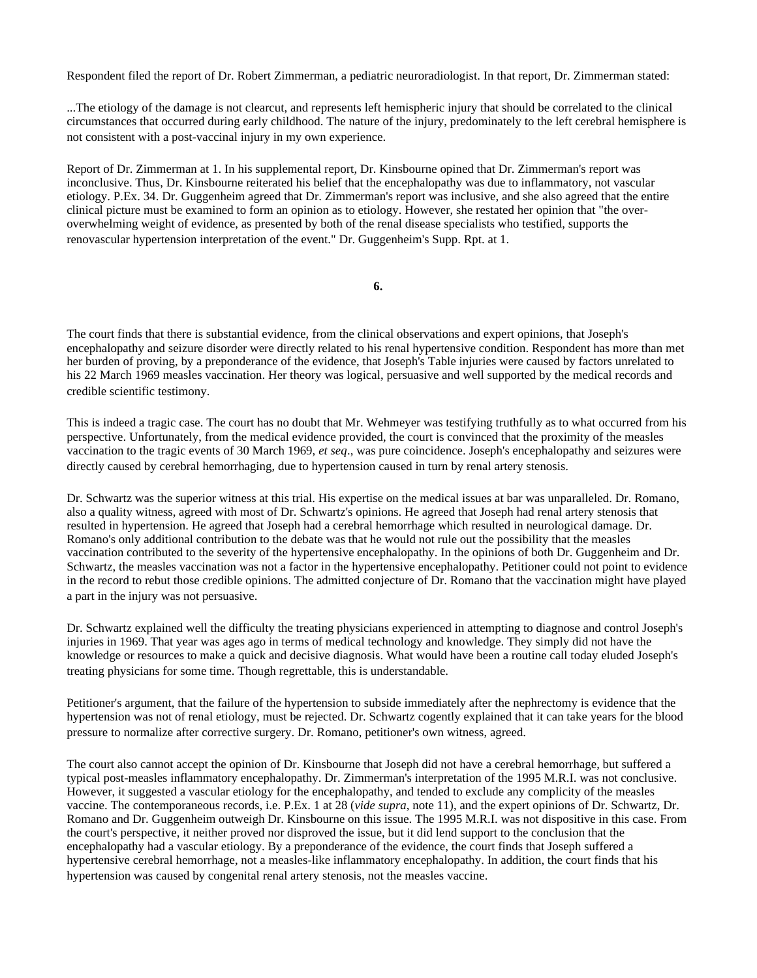Respondent filed the report of Dr. Robert Zimmerman, a pediatric neuroradiologist. In that report, Dr. Zimmerman stated:

...The etiology of the damage is not clearcut, and represents left hemispheric injury that should be correlated to the clinical circumstances that occurred during early childhood. The nature of the injury, predominately to the left cerebral hemisphere is not consistent with a post-vaccinal injury in my own experience.

Report of Dr. Zimmerman at 1. In his supplemental report, Dr. Kinsbourne opined that Dr. Zimmerman's report was inconclusive. Thus, Dr. Kinsbourne reiterated his belief that the encephalopathy was due to inflammatory, not vascular etiology. P.Ex. 34. Dr. Guggenheim agreed that Dr. Zimmerman's report was inclusive, and she also agreed that the entire clinical picture must be examined to form an opinion as to etiology. However, she restated her opinion that "the overoverwhelming weight of evidence, as presented by both of the renal disease specialists who testified, supports the renovascular hypertension interpretation of the event." Dr. Guggenheim's Supp. Rpt. at 1.

**6.**

The court finds that there is substantial evidence, from the clinical observations and expert opinions, that Joseph's encephalopathy and seizure disorder were directly related to his renal hypertensive condition. Respondent has more than met her burden of proving, by a preponderance of the evidence, that Joseph's Table injuries were caused by factors unrelated to his 22 March 1969 measles vaccination. Her theory was logical, persuasive and well supported by the medical records and credible scientific testimony.

This is indeed a tragic case. The court has no doubt that Mr. Wehmeyer was testifying truthfully as to what occurred from his perspective. Unfortunately, from the medical evidence provided, the court is convinced that the proximity of the measles vaccination to the tragic events of 30 March 1969, *et seq*., was pure coincidence. Joseph's encephalopathy and seizures were directly caused by cerebral hemorrhaging, due to hypertension caused in turn by renal artery stenosis.

Dr. Schwartz was the superior witness at this trial. His expertise on the medical issues at bar was unparalleled. Dr. Romano, also a quality witness, agreed with most of Dr. Schwartz's opinions. He agreed that Joseph had renal artery stenosis that resulted in hypertension. He agreed that Joseph had a cerebral hemorrhage which resulted in neurological damage. Dr. Romano's only additional contribution to the debate was that he would not rule out the possibility that the measles vaccination contributed to the severity of the hypertensive encephalopathy. In the opinions of both Dr. Guggenheim and Dr. Schwartz, the measles vaccination was not a factor in the hypertensive encephalopathy. Petitioner could not point to evidence in the record to rebut those credible opinions. The admitted conjecture of Dr. Romano that the vaccination might have played a part in the injury was not persuasive.

Dr. Schwartz explained well the difficulty the treating physicians experienced in attempting to diagnose and control Joseph's injuries in 1969. That year was ages ago in terms of medical technology and knowledge. They simply did not have the knowledge or resources to make a quick and decisive diagnosis. What would have been a routine call today eluded Joseph's treating physicians for some time. Though regrettable, this is understandable.

Petitioner's argument, that the failure of the hypertension to subside immediately after the nephrectomy is evidence that the hypertension was not of renal etiology, must be rejected. Dr. Schwartz cogently explained that it can take years for the blood pressure to normalize after corrective surgery. Dr. Romano, petitioner's own witness, agreed.

The court also cannot accept the opinion of Dr. Kinsbourne that Joseph did not have a cerebral hemorrhage, but suffered a typical post-measles inflammatory encephalopathy. Dr. Zimmerman's interpretation of the 1995 M.R.I. was not conclusive. However, it suggested a vascular etiology for the encephalopathy, and tended to exclude any complicity of the measles vaccine. The contemporaneous records, i.e. P.Ex. 1 at 28 (*vide supra*, note 11), and the expert opinions of Dr. Schwartz, Dr. Romano and Dr. Guggenheim outweigh Dr. Kinsbourne on this issue. The 1995 M.R.I. was not dispositive in this case. From the court's perspective, it neither proved nor disproved the issue, but it did lend support to the conclusion that the encephalopathy had a vascular etiology. By a preponderance of the evidence, the court finds that Joseph suffered a hypertensive cerebral hemorrhage, not a measles-like inflammatory encephalopathy. In addition, the court finds that his hypertension was caused by congenital renal artery stenosis, not the measles vaccine.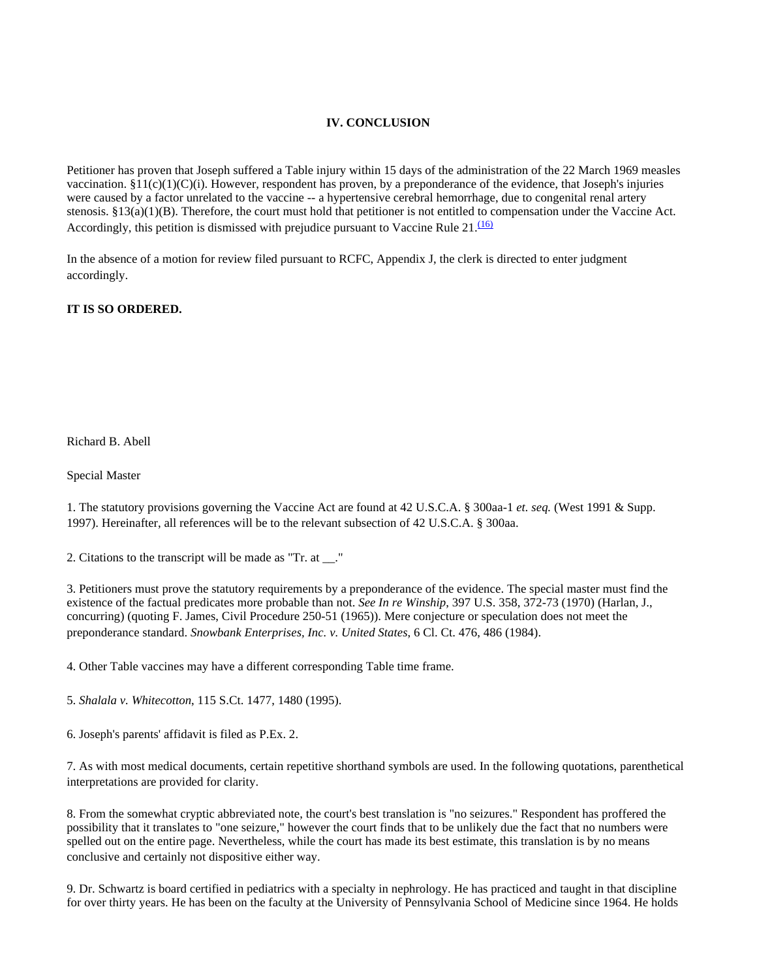#### **IV. CONCLUSION**

Petitioner has proven that Joseph suffered a Table injury within 15 days of the administration of the 22 March 1969 measles vaccination.  $§11(c)(1)(C)(i)$ . However, respondent has proven, by a preponderance of the evidence, that Joseph's injuries were caused by a factor unrelated to the vaccine -- a hypertensive cerebral hemorrhage, due to congenital renal artery stenosis. §13(a)(1)(B). Therefore, the court must hold that petitioner is not entitled to compensation under the Vaccine Act. Accordingly, this petition is dismissed with prejudice pursuant to Vaccine Rule  $21.\overline{160}$ 

In the absence of a motion for review filed pursuant to RCFC, Appendix J, the clerk is directed to enter judgment accordingly.

#### **IT IS SO ORDERED.**

Richard B. Abell

Special Master

1. The statutory provisions governing the Vaccine Act are found at 42 U.S.C.A. § 300aa-1 *et. seq.* (West 1991 & Supp. 1997). Hereinafter, all references will be to the relevant subsection of 42 U.S.C.A. § 300aa.

2. Citations to the transcript will be made as "Tr. at \_\_."

3. Petitioners must prove the statutory requirements by a preponderance of the evidence. The special master must find the existence of the factual predicates more probable than not. *See In re Winship*, 397 U.S. 358, 372-73 (1970) (Harlan, J., concurring) (quoting F. James, Civil Procedure 250-51 (1965)). Mere conjecture or speculation does not meet the preponderance standard. *Snowbank Enterprises, Inc. v. United States*, 6 Cl. Ct. 476, 486 (1984).

4. Other Table vaccines may have a different corresponding Table time frame.

5. *Shalala v. Whitecotton*, 115 S.Ct. 1477, 1480 (1995).

6. Joseph's parents' affidavit is filed as P.Ex. 2.

7. As with most medical documents, certain repetitive shorthand symbols are used. In the following quotations, parenthetical interpretations are provided for clarity.

8. From the somewhat cryptic abbreviated note, the court's best translation is "no seizures." Respondent has proffered the possibility that it translates to "one seizure," however the court finds that to be unlikely due the fact that no numbers were spelled out on the entire page. Nevertheless, while the court has made its best estimate, this translation is by no means conclusive and certainly not dispositive either way.

9. Dr. Schwartz is board certified in pediatrics with a specialty in nephrology. He has practiced and taught in that discipline for over thirty years. He has been on the faculty at the University of Pennsylvania School of Medicine since 1964. He holds